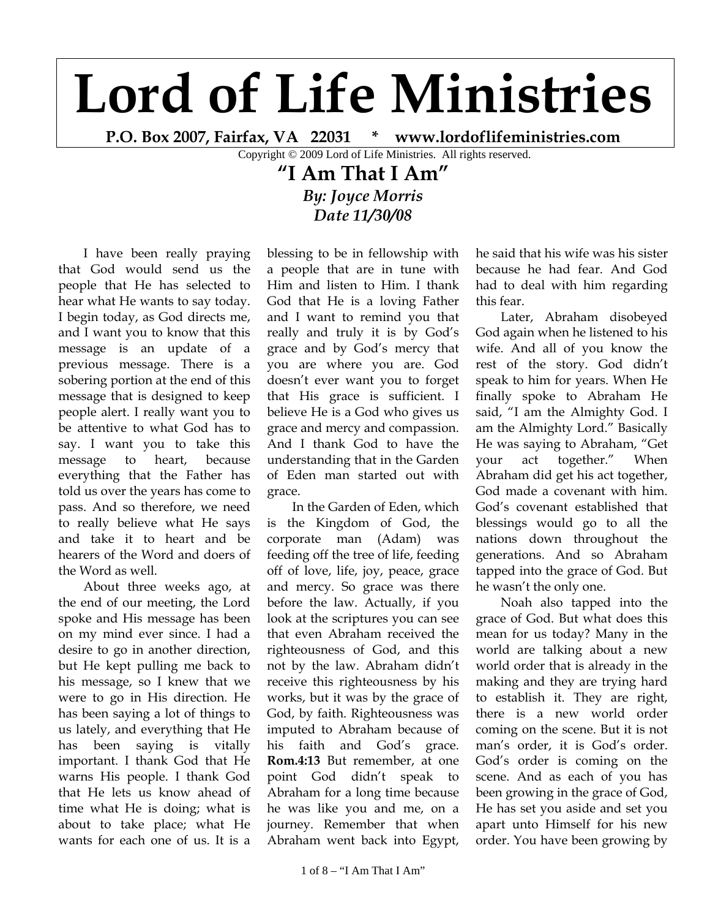## **Lord of Life Ministries**

**P.O. Box 2007, Fairfax, VA 22031 \* www.lordoflifeministries.com** 

Copyright © 2009 Lord of Life Ministries. All rights reserved.

## **"I Am That I Am"**  *By: Joyce Morris Date 11/30/08*

I have been really praying that God would send us the people that He has selected to hear what He wants to say today. I begin today, as God directs me, and I want you to know that this message is an update of a previous message. There is a sobering portion at the end of this message that is designed to keep people alert. I really want you to be attentive to what God has to say. I want you to take this message to heart, because everything that the Father has told us over the years has come to pass. And so therefore, we need to really believe what He says and take it to heart and be hearers of the Word and doers of the Word as well.

About three weeks ago, at the end of our meeting, the Lord spoke and His message has been on my mind ever since. I had a desire to go in another direction, but He kept pulling me back to his message, so I knew that we were to go in His direction. He has been saying a lot of things to us lately, and everything that He has been saying is vitally important. I thank God that He warns His people. I thank God that He lets us know ahead of time what He is doing; what is about to take place; what He wants for each one of us. It is a

blessing to be in fellowship with a people that are in tune with Him and listen to Him. I thank God that He is a loving Father and I want to remind you that really and truly it is by God's grace and by God's mercy that you are where you are. God doesn't ever want you to forget that His grace is sufficient. I believe He is a God who gives us grace and mercy and compassion. And I thank God to have the understanding that in the Garden of Eden man started out with grace.

In the Garden of Eden, which is the Kingdom of God, the corporate man (Adam) was feeding off the tree of life, feeding off of love, life, joy, peace, grace and mercy. So grace was there before the law. Actually, if you look at the scriptures you can see that even Abraham received the righteousness of God, and this not by the law. Abraham didn't receive this righteousness by his works, but it was by the grace of God, by faith. Righteousness was imputed to Abraham because of his faith and God's grace. **Rom.4:13** But remember, at one point God didn't speak to Abraham for a long time because he was like you and me, on a journey. Remember that when Abraham went back into Egypt,

he said that his wife was his sister because he had fear. And God had to deal with him regarding this fear.

Later, Abraham disobeyed God again when he listened to his wife. And all of you know the rest of the story. God didn't speak to him for years. When He finally spoke to Abraham He said, "I am the Almighty God. I am the Almighty Lord." Basically He was saying to Abraham, "Get your act together." When Abraham did get his act together, God made a covenant with him. God's covenant established that blessings would go to all the nations down throughout the generations. And so Abraham tapped into the grace of God. But he wasn't the only one.

Noah also tapped into the grace of God. But what does this mean for us today? Many in the world are talking about a new world order that is already in the making and they are trying hard to establish it. They are right, there is a new world order coming on the scene. But it is not man's order, it is God's order. God's order is coming on the scene. And as each of you has been growing in the grace of God, He has set you aside and set you apart unto Himself for his new order. You have been growing by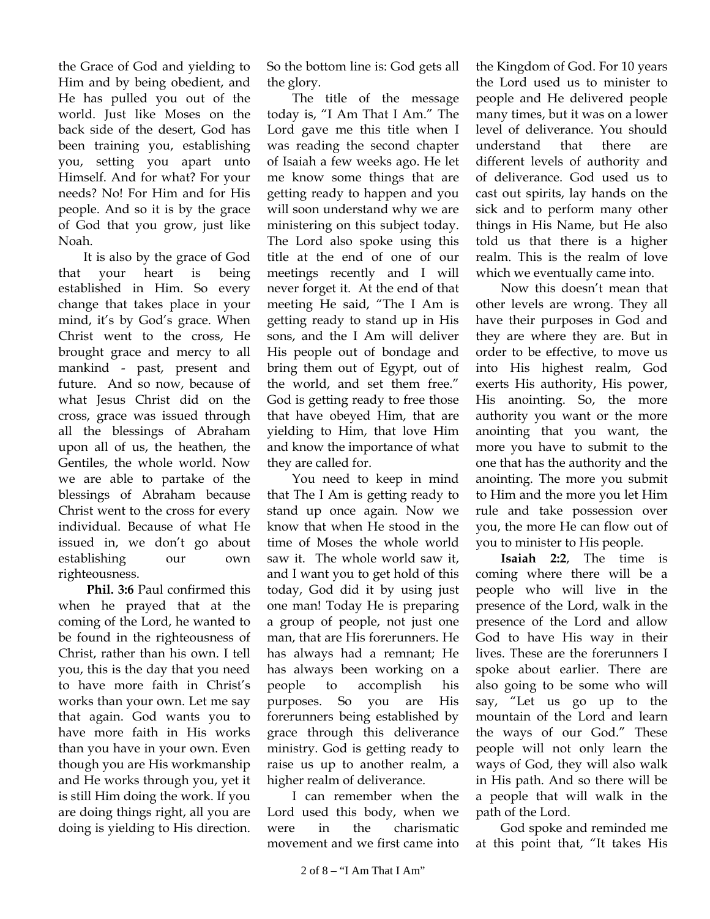the Grace of God and yielding to Him and by being obedient, and He has pulled you out of the world. Just like Moses on the back side of the desert, God has been training you, establishing you, setting you apart unto Himself. And for what? For your needs? No! For Him and for His people. And so it is by the grace of God that you grow, just like Noah.

It is also by the grace of God that your heart is being established in Him. So every change that takes place in your mind, it's by God's grace. When Christ went to the cross, He brought grace and mercy to all mankind - past, present and future. And so now, because of what Jesus Christ did on the cross, grace was issued through all the blessings of Abraham upon all of us, the heathen, the Gentiles, the whole world. Now we are able to partake of the blessings of Abraham because Christ went to the cross for every individual. Because of what He issued in, we don't go about establishing our own righteousness.

**Phil. 3:6** Paul confirmed this when he prayed that at the coming of the Lord, he wanted to be found in the righteousness of Christ, rather than his own. I tell you, this is the day that you need to have more faith in Christ's works than your own. Let me say that again. God wants you to have more faith in His works than you have in your own. Even though you are His workmanship and He works through you, yet it is still Him doing the work. If you are doing things right, all you are doing is yielding to His direction.

So the bottom line is: God gets all the glory.

The title of the message today is, "I Am That I Am." The Lord gave me this title when I was reading the second chapter of Isaiah a few weeks ago. He let me know some things that are getting ready to happen and you will soon understand why we are ministering on this subject today. The Lord also spoke using this title at the end of one of our meetings recently and I will never forget it. At the end of that meeting He said, "The I Am is getting ready to stand up in His sons, and the I Am will deliver His people out of bondage and bring them out of Egypt, out of the world, and set them free." God is getting ready to free those that have obeyed Him, that are yielding to Him, that love Him and know the importance of what they are called for.

You need to keep in mind that The I Am is getting ready to stand up once again. Now we know that when He stood in the time of Moses the whole world saw it. The whole world saw it, and I want you to get hold of this today, God did it by using just one man! Today He is preparing a group of people, not just one man, that are His forerunners. He has always had a remnant; He has always been working on a people to accomplish his purposes. So you are His forerunners being established by grace through this deliverance ministry. God is getting ready to raise us up to another realm, a higher realm of deliverance.

I can remember when the Lord used this body, when we were in the charismatic movement and we first came into the Kingdom of God. For 10 years the Lord used us to minister to people and He delivered people many times, but it was on a lower level of deliverance. You should understand that there are different levels of authority and of deliverance. God used us to cast out spirits, lay hands on the sick and to perform many other things in His Name, but He also told us that there is a higher realm. This is the realm of love which we eventually came into.

Now this doesn't mean that other levels are wrong. They all have their purposes in God and they are where they are. But in order to be effective, to move us into His highest realm, God exerts His authority, His power, His anointing. So, the more authority you want or the more anointing that you want, the more you have to submit to the one that has the authority and the anointing. The more you submit to Him and the more you let Him rule and take possession over you, the more He can flow out of you to minister to His people.

**Isaiah 2:2**, The time is coming where there will be a people who will live in the presence of the Lord, walk in the presence of the Lord and allow God to have His way in their lives. These are the forerunners I spoke about earlier. There are also going to be some who will say, "Let us go up to the mountain of the Lord and learn the ways of our God." These people will not only learn the ways of God, they will also walk in His path. And so there will be a people that will walk in the path of the Lord.

God spoke and reminded me at this point that, "It takes His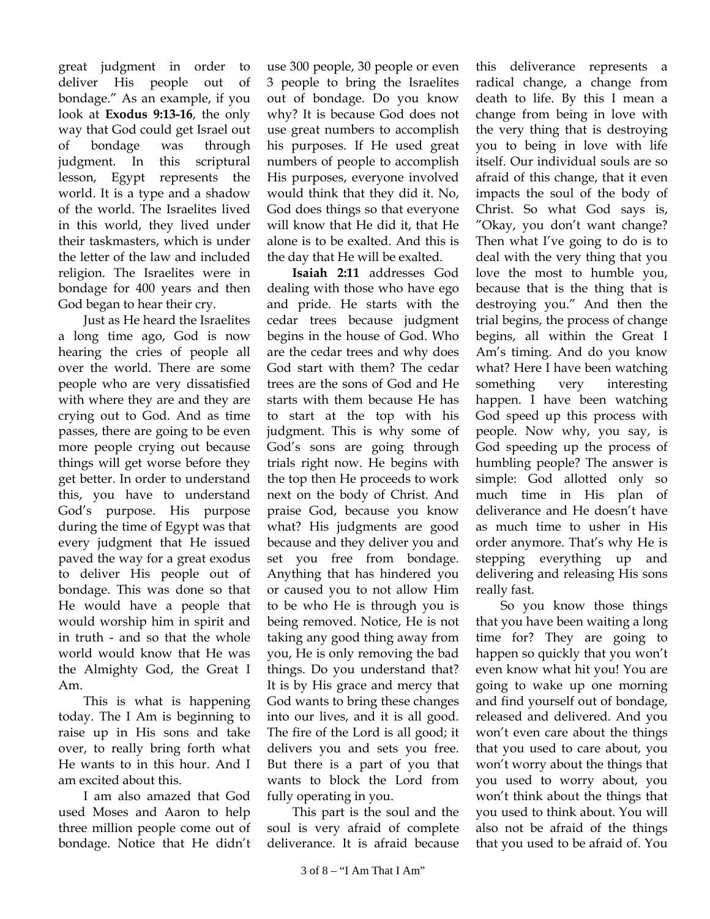great judgment in order to deliver His people out of bondage." As an example, if you look at **Exodus 9:13-16**, the only way that God could get Israel out of bondage was through judgment. In this scriptural lesson, Egypt represents the world. It is a type and a shadow of the world. The Israelites lived in this world, they lived under their taskmasters, which is under the letter of the law and included religion. The Israelites were in bondage for 400 years and then God began to hear their cry.

Just as He heard the Israelites a long time ago, God is now hearing the cries of people all over the world. There are some people who are very dissatisfied with where they are and they are crying out to God. And as time passes, there are going to be even more people crying out because things will get worse before they get better. In order to understand this, you have to understand God's purpose. His purpose during the time of Egypt was that every judgment that He issued paved the way for a great exodus to deliver His people out of bondage. This was done so that He would have a people that would worship him in spirit and in truth - and so that the whole world would know that He was the Almighty God, the Great I Am.

This is what is happening today. The I Am is beginning to raise up in His sons and take over, to really bring forth what He wants to in this hour. And I am excited about this.

I am also amazed that God used Moses and Aaron to help three million people come out of bondage. Notice that He didn't use 300 people, 30 people or even 3 people to bring the Israelites out of bondage. Do you know why? It is because God does not use great numbers to accomplish his purposes. If He used great numbers of people to accomplish His purposes, everyone involved would think that they did it. No, God does things so that everyone will know that He did it, that He alone is to be exalted. And this is the day that He will be exalted.

**Isaiah 2:11** addresses God dealing with those who have ego and pride. He starts with the cedar trees because judgment begins in the house of God. Who are the cedar trees and why does God start with them? The cedar trees are the sons of God and He starts with them because He has to start at the top with his judgment. This is why some of God's sons are going through trials right now. He begins with the top then He proceeds to work next on the body of Christ. And praise God, because you know what? His judgments are good because and they deliver you and set you free from bondage. Anything that has hindered you or caused you to not allow Him to be who He is through you is being removed. Notice, He is not taking any good thing away from you, He is only removing the bad things. Do you understand that? It is by His grace and mercy that God wants to bring these changes into our lives, and it is all good. The fire of the Lord is all good; it delivers you and sets you free. But there is a part of you that wants to block the Lord from fully operating in you.

This part is the soul and the soul is very afraid of complete deliverance. It is afraid because

this deliverance represents a radical change, a change from death to life. By this I mean a change from being in love with the very thing that is destroying you to being in love with life itself. Our individual souls are so afraid of this change, that it even impacts the soul of the body of Christ. So what God says is, "Okay, you don't want change? Then what I've going to do is to deal with the very thing that you love the most to humble you, because that is the thing that is destroying you." And then the trial begins, the process of change begins, all within the Great I Am's timing. And do you know what? Here I have been watching something very interesting happen. I have been watching God speed up this process with people. Now why, you say, is God speeding up the process of humbling people? The answer is simple: God allotted only so much time in His plan of deliverance and He doesn't have as much time to usher in His order anymore. That's why He is stepping everything up and delivering and releasing His sons really fast.

So you know those things that you have been waiting a long time for? They are going to happen so quickly that you won't even know what hit you! You are going to wake up one morning and find yourself out of bondage, released and delivered. And you won't even care about the things that you used to care about, you won't worry about the things that you used to worry about, you won't think about the things that you used to think about. You will also not be afraid of the things that you used to be afraid of. You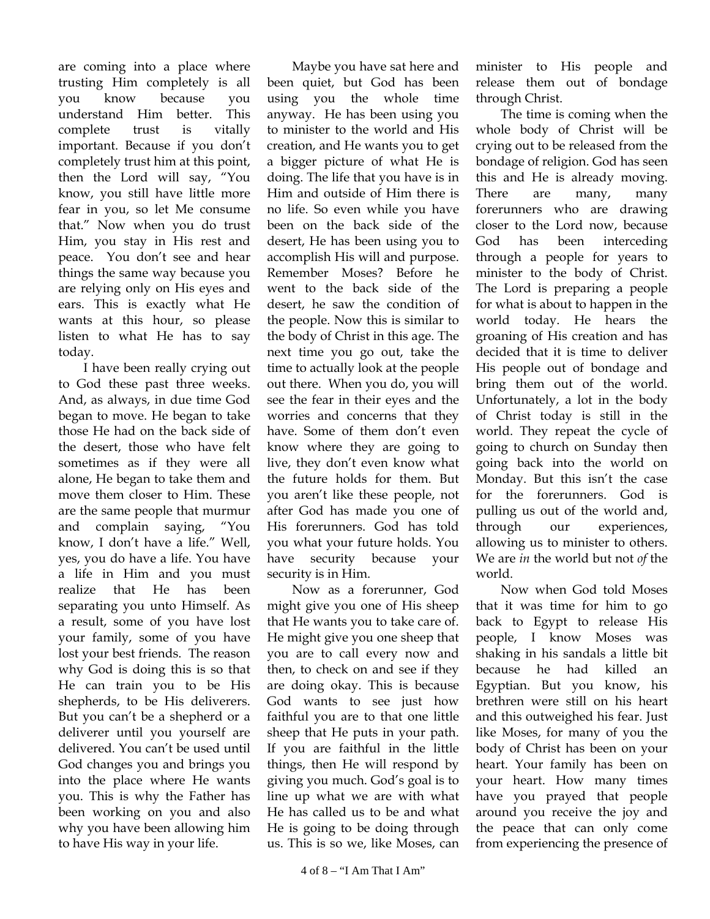are coming into a place where trusting Him completely is all you know because you understand Him better. This complete trust is vitally important. Because if you don't completely trust him at this point, then the Lord will say, "You know, you still have little more fear in you, so let Me consume that." Now when you do trust Him, you stay in His rest and peace. You don't see and hear things the same way because you are relying only on His eyes and ears. This is exactly what He wants at this hour, so please listen to what He has to say today.

I have been really crying out to God these past three weeks. And, as always, in due time God began to move. He began to take those He had on the back side of the desert, those who have felt sometimes as if they were all alone, He began to take them and move them closer to Him. These are the same people that murmur and complain saying, "You know, I don't have a life." Well, yes, you do have a life. You have a life in Him and you must realize that He has been separating you unto Himself. As a result, some of you have lost your family, some of you have lost your best friends. The reason why God is doing this is so that He can train you to be His shepherds, to be His deliverers. But you can't be a shepherd or a deliverer until you yourself are delivered. You can't be used until God changes you and brings you into the place where He wants you. This is why the Father has been working on you and also why you have been allowing him to have His way in your life.

Maybe you have sat here and been quiet, but God has been using you the whole time anyway. He has been using you to minister to the world and His creation, and He wants you to get a bigger picture of what He is doing. The life that you have is in Him and outside of Him there is no life. So even while you have been on the back side of the desert, He has been using you to accomplish His will and purpose. Remember Moses? Before he went to the back side of the desert, he saw the condition of the people. Now this is similar to the body of Christ in this age. The next time you go out, take the time to actually look at the people out there. When you do, you will see the fear in their eyes and the worries and concerns that they have. Some of them don't even know where they are going to live, they don't even know what the future holds for them. But you aren't like these people, not after God has made you one of His forerunners. God has told you what your future holds. You have security because your security is in Him.

Now as a forerunner, God might give you one of His sheep that He wants you to take care of. He might give you one sheep that you are to call every now and then, to check on and see if they are doing okay. This is because God wants to see just how faithful you are to that one little sheep that He puts in your path. If you are faithful in the little things, then He will respond by giving you much. God's goal is to line up what we are with what He has called us to be and what He is going to be doing through us. This is so we, like Moses, can

minister to His people and release them out of bondage through Christ.

The time is coming when the whole body of Christ will be crying out to be released from the bondage of religion. God has seen this and He is already moving. There are many, many forerunners who are drawing closer to the Lord now, because God has been interceding through a people for years to minister to the body of Christ. The Lord is preparing a people for what is about to happen in the world today. He hears the groaning of His creation and has decided that it is time to deliver His people out of bondage and bring them out of the world. Unfortunately, a lot in the body of Christ today is still in the world. They repeat the cycle of going to church on Sunday then going back into the world on Monday. But this isn't the case for the forerunners. God is pulling us out of the world and, through our experiences, allowing us to minister to others. We are *in* the world but not *of* the world.

Now when God told Moses that it was time for him to go back to Egypt to release His people, I know Moses was shaking in his sandals a little bit because he had killed an Egyptian. But you know, his brethren were still on his heart and this outweighed his fear. Just like Moses, for many of you the body of Christ has been on your heart. Your family has been on your heart. How many times have you prayed that people around you receive the joy and the peace that can only come from experiencing the presence of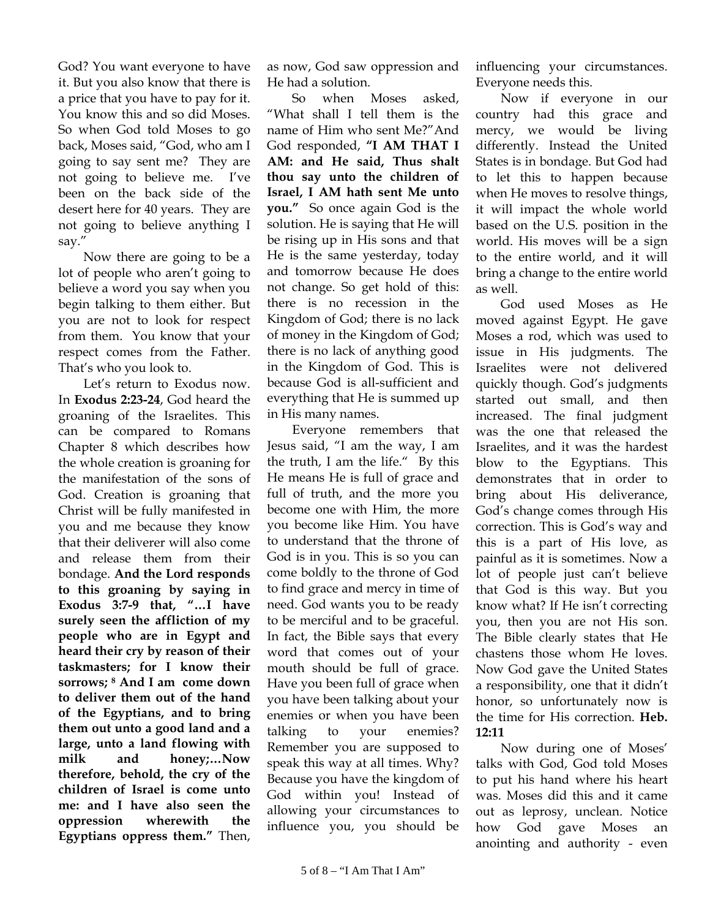God? You want everyone to have it. But you also know that there is a price that you have to pay for it. You know this and so did Moses. So when God told Moses to go back, Moses said, "God, who am I going to say sent me? They are not going to believe me. I've been on the back side of the desert here for 40 years. They are not going to believe anything I say."

Now there are going to be a lot of people who aren't going to believe a word you say when you begin talking to them either. But you are not to look for respect from them. You know that your respect comes from the Father. That's who you look to.

Let's return to Exodus now. In **Exodus 2:23-24**, God heard the groaning of the Israelites. This can be compared to Romans Chapter 8 which describes how the whole creation is groaning for the manifestation of the sons of God. Creation is groaning that Christ will be fully manifested in you and me because they know that their deliverer will also come and release them from their bondage. **And the Lord responds to this groaning by saying in Exodus 3:7-9 that, "…I have surely seen the affliction of my people who are in Egypt and heard their cry by reason of their taskmasters; for I know their sorrows; 8 And I am come down to deliver them out of the hand of the Egyptians, and to bring them out unto a good land and a large, unto a land flowing with milk and honey;…Now therefore, behold, the cry of the children of Israel is come unto me: and I have also seen the oppression wherewith the Egyptians oppress them."** Then,

as now, God saw oppression and He had a solution.

So when Moses asked, "What shall I tell them is the name of Him who sent Me?"And God responded, **"I AM THAT I AM: and He said, Thus shalt thou say unto the children of Israel, I AM hath sent Me unto you."** So once again God is the solution. He is saying that He will be rising up in His sons and that He is the same yesterday, today and tomorrow because He does not change. So get hold of this: there is no recession in the Kingdom of God; there is no lack of money in the Kingdom of God; there is no lack of anything good in the Kingdom of God. This is because God is all-sufficient and everything that He is summed up in His many names.

Everyone remembers that Jesus said, "I am the way, I am the truth, I am the life." By this He means He is full of grace and full of truth, and the more you become one with Him, the more you become like Him. You have to understand that the throne of God is in you. This is so you can come boldly to the throne of God to find grace and mercy in time of need. God wants you to be ready to be merciful and to be graceful. In fact, the Bible says that every word that comes out of your mouth should be full of grace. Have you been full of grace when you have been talking about your enemies or when you have been talking to your enemies? Remember you are supposed to speak this way at all times. Why? Because you have the kingdom of God within you! Instead of allowing your circumstances to influence you, you should be

influencing your circumstances. Everyone needs this.

Now if everyone in our country had this grace and mercy, we would be living differently. Instead the United States is in bondage. But God had to let this to happen because when He moves to resolve things, it will impact the whole world based on the U.S. position in the world. His moves will be a sign to the entire world, and it will bring a change to the entire world as well.

God used Moses as He moved against Egypt. He gave Moses a rod, which was used to issue in His judgments. The Israelites were not delivered quickly though. God's judgments started out small, and then increased. The final judgment was the one that released the Israelites, and it was the hardest blow to the Egyptians. This demonstrates that in order to bring about His deliverance, God's change comes through His correction. This is God's way and this is a part of His love, as painful as it is sometimes. Now a lot of people just can't believe that God is this way. But you know what? If He isn't correcting you, then you are not His son. The Bible clearly states that He chastens those whom He loves. Now God gave the United States a responsibility, one that it didn't honor, so unfortunately now is the time for His correction. **Heb. 12:11** 

Now during one of Moses' talks with God, God told Moses to put his hand where his heart was. Moses did this and it came out as leprosy, unclean. Notice how God gave Moses an anointing and authority - even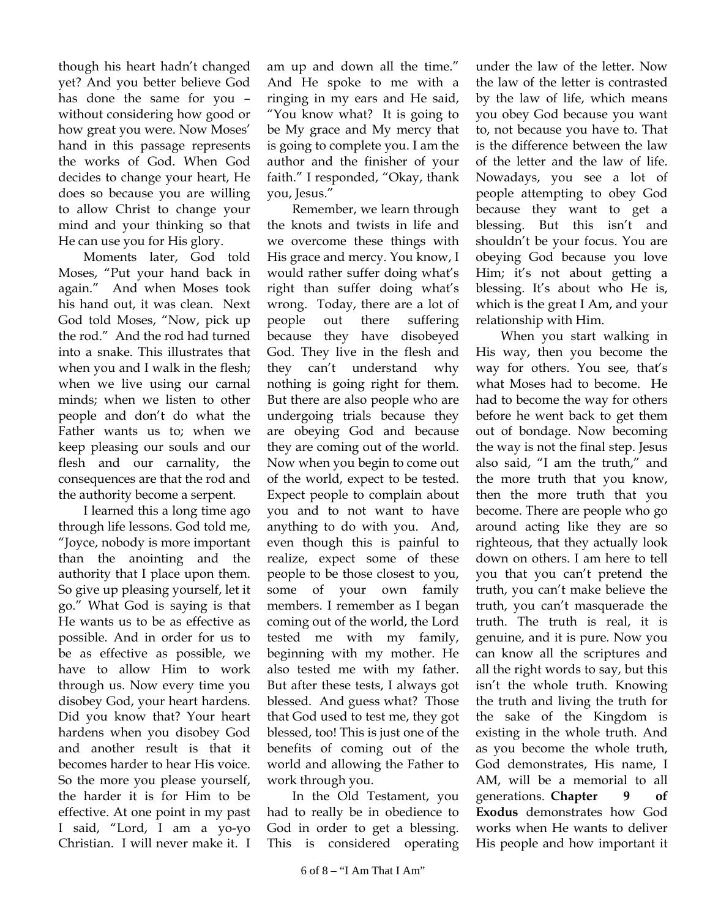though his heart hadn't changed yet? And you better believe God has done the same for you – without considering how good or how great you were. Now Moses' hand in this passage represents the works of God. When God decides to change your heart, He does so because you are willing to allow Christ to change your mind and your thinking so that He can use you for His glory.

Moments later, God told Moses, "Put your hand back in again." And when Moses took his hand out, it was clean. Next God told Moses, "Now, pick up the rod." And the rod had turned into a snake. This illustrates that when you and I walk in the flesh; when we live using our carnal minds; when we listen to other people and don't do what the Father wants us to; when we keep pleasing our souls and our flesh and our carnality, the consequences are that the rod and the authority become a serpent.

I learned this a long time ago through life lessons. God told me, "Joyce, nobody is more important than the anointing and the authority that I place upon them. So give up pleasing yourself, let it go." What God is saying is that He wants us to be as effective as possible. And in order for us to be as effective as possible, we have to allow Him to work through us. Now every time you disobey God, your heart hardens. Did you know that? Your heart hardens when you disobey God and another result is that it becomes harder to hear His voice. So the more you please yourself, the harder it is for Him to be effective. At one point in my past I said, "Lord, I am a yo-yo Christian. I will never make it. I

am up and down all the time." And He spoke to me with a ringing in my ears and He said, "You know what? It is going to be My grace and My mercy that is going to complete you. I am the author and the finisher of your faith." I responded, "Okay, thank you, Jesus."

Remember, we learn through the knots and twists in life and we overcome these things with His grace and mercy. You know, I would rather suffer doing what's right than suffer doing what's wrong. Today, there are a lot of people out there suffering because they have disobeyed God. They live in the flesh and they can't understand why nothing is going right for them. But there are also people who are undergoing trials because they are obeying God and because they are coming out of the world. Now when you begin to come out of the world, expect to be tested. Expect people to complain about you and to not want to have anything to do with you. And, even though this is painful to realize, expect some of these people to be those closest to you, some of your own family members. I remember as I began coming out of the world, the Lord tested me with my family, beginning with my mother. He also tested me with my father. But after these tests, I always got blessed. And guess what? Those that God used to test me, they got blessed, too! This is just one of the benefits of coming out of the world and allowing the Father to work through you.

In the Old Testament, you had to really be in obedience to God in order to get a blessing. This is considered operating under the law of the letter. Now the law of the letter is contrasted by the law of life, which means you obey God because you want to, not because you have to. That is the difference between the law of the letter and the law of life. Nowadays, you see a lot of people attempting to obey God because they want to get a blessing. But this isn't and shouldn't be your focus. You are obeying God because you love Him; it's not about getting a blessing. It's about who He is, which is the great I Am, and your relationship with Him.

When you start walking in His way, then you become the way for others. You see, that's what Moses had to become. He had to become the way for others before he went back to get them out of bondage. Now becoming the way is not the final step. Jesus also said, "I am the truth," and the more truth that you know, then the more truth that you become. There are people who go around acting like they are so righteous, that they actually look down on others. I am here to tell you that you can't pretend the truth, you can't make believe the truth, you can't masquerade the truth. The truth is real, it is genuine, and it is pure. Now you can know all the scriptures and all the right words to say, but this isn't the whole truth. Knowing the truth and living the truth for the sake of the Kingdom is existing in the whole truth. And as you become the whole truth, God demonstrates, His name, I AM, will be a memorial to all generations. **Chapter 9 of Exodus** demonstrates how God works when He wants to deliver His people and how important it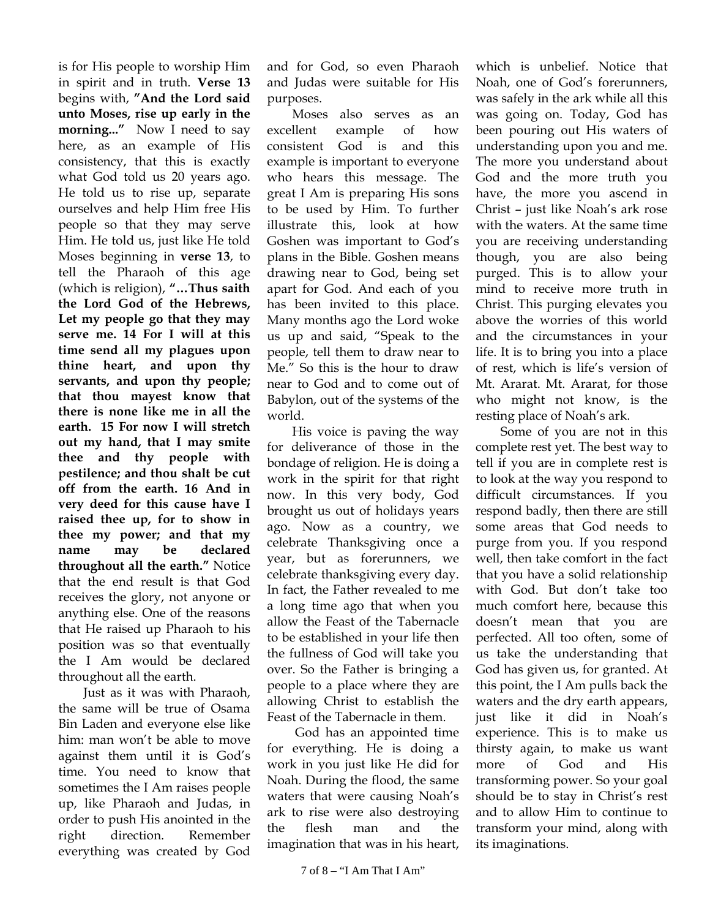is for His people to worship Him in spirit and in truth. **Verse 13** begins with, **"And the Lord said unto Moses, rise up early in the morning..."** Now I need to say here, as an example of His consistency, that this is exactly what God told us 20 years ago. He told us to rise up, separate ourselves and help Him free His people so that they may serve Him. He told us, just like He told Moses beginning in **verse 13**, to tell the Pharaoh of this age (which is religion), **"…Thus saith the Lord God of the Hebrews, Let my people go that they may serve me. 14 For I will at this time send all my plagues upon thine heart, and upon thy servants, and upon thy people; that thou mayest know that there is none like me in all the earth. 15 For now I will stretch out my hand, that I may smite thee and thy people with pestilence; and thou shalt be cut off from the earth. 16 And in very deed for this cause have I raised thee up, for to show in thee my power; and that my name may be declared throughout all the earth."** Notice that the end result is that God receives the glory, not anyone or anything else. One of the reasons that He raised up Pharaoh to his position was so that eventually the I Am would be declared throughout all the earth.

Just as it was with Pharaoh, the same will be true of Osama Bin Laden and everyone else like him: man won't be able to move against them until it is God's time. You need to know that sometimes the I Am raises people up, like Pharaoh and Judas, in order to push His anointed in the right direction. Remember everything was created by God

and for God, so even Pharaoh and Judas were suitable for His purposes.

Moses also serves as an excellent example of how consistent God is and this example is important to everyone who hears this message. The great I Am is preparing His sons to be used by Him. To further illustrate this, look at how Goshen was important to God's plans in the Bible. Goshen means drawing near to God, being set apart for God. And each of you has been invited to this place. Many months ago the Lord woke us up and said, "Speak to the people, tell them to draw near to Me." So this is the hour to draw near to God and to come out of Babylon, out of the systems of the world.

His voice is paving the way for deliverance of those in the bondage of religion. He is doing a work in the spirit for that right now. In this very body, God brought us out of holidays years ago. Now as a country, we celebrate Thanksgiving once a year, but as forerunners, we celebrate thanksgiving every day. In fact, the Father revealed to me a long time ago that when you allow the Feast of the Tabernacle to be established in your life then the fullness of God will take you over. So the Father is bringing a people to a place where they are allowing Christ to establish the Feast of the Tabernacle in them.

 God has an appointed time for everything. He is doing a work in you just like He did for Noah. During the flood, the same waters that were causing Noah's ark to rise were also destroying the flesh man and the imagination that was in his heart,

which is unbelief. Notice that Noah, one of God's forerunners, was safely in the ark while all this was going on. Today, God has been pouring out His waters of understanding upon you and me. The more you understand about God and the more truth you have, the more you ascend in Christ – just like Noah's ark rose with the waters. At the same time you are receiving understanding though, you are also being purged. This is to allow your mind to receive more truth in Christ. This purging elevates you above the worries of this world and the circumstances in your life. It is to bring you into a place of rest, which is life's version of Mt. Ararat. Mt. Ararat, for those who might not know, is the resting place of Noah's ark.

Some of you are not in this complete rest yet. The best way to tell if you are in complete rest is to look at the way you respond to difficult circumstances. If you respond badly, then there are still some areas that God needs to purge from you. If you respond well, then take comfort in the fact that you have a solid relationship with God. But don't take too much comfort here, because this doesn't mean that you are perfected. All too often, some of us take the understanding that God has given us, for granted. At this point, the I Am pulls back the waters and the dry earth appears, just like it did in Noah's experience. This is to make us thirsty again, to make us want more of God and His transforming power. So your goal should be to stay in Christ's rest and to allow Him to continue to transform your mind, along with its imaginations.